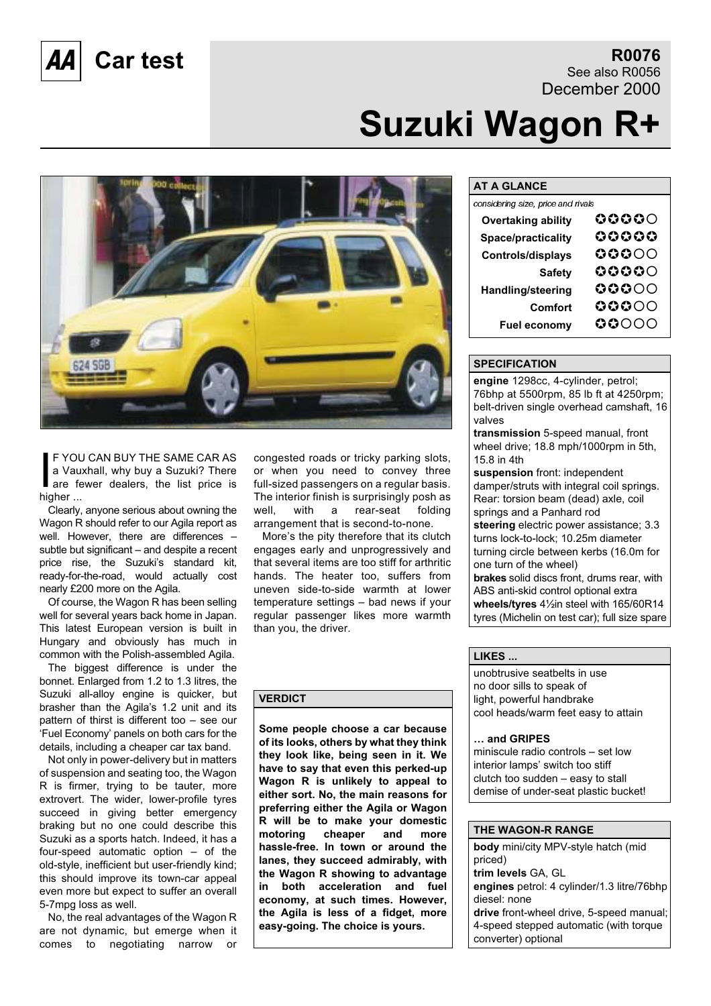# **Car test R0076**

See also R0056 December 2000

# **Suzuki Wagon R+**



F YOU<br>a Vau<br>are fe<br>higher ... F YOU CAN BUY THE SAME CAR AS a Vauxhall, why buy a Suzuki? There are fewer dealers, the list price is

Clearly, anyone serious about owning the Wagon R should refer to our Agila report as well. However, there are differences – subtle but significant – and despite a recent price rise, the Suzuki's standard kit, ready-for-the-road, would actually cost nearly £200 more on the Agila.

Of course, the Wagon R has been selling well for several years back home in Japan. This latest European version is built in Hungary and obviously has much in common with the Polish-assembled Agila.

The biggest difference is under the bonnet. Enlarged from 1.2 to 1.3 litres, the Suzuki all-alloy engine is quicker, but brasher than the Agila's 1.2 unit and its pattern of thirst is different too – see our 'Fuel Economy' panels on both cars for the details, including a cheaper car tax band.

Not only in power-delivery but in matters of suspension and seating too, the Wagon R is firmer, trying to be tauter, more extrovert. The wider, lower-profile tyres succeed in giving better emergency braking but no one could describe this Suzuki as a sports hatch. Indeed, it has a four-speed automatic option – of the old-style, inefficient but user-friendly kind; this should improve its town-car appeal even more but expect to suffer an overall 5-7mpg loss as well.

No, the real advantages of the Wagon R are not dynamic, but emerge when it comes to negotiating narrow or congested roads or tricky parking slots, or when you need to convey three full-sized passengers on a regular basis. The interior finish is surprisingly posh as well, with a rear-seat folding arrangement that is second-to-none.

More's the pity therefore that its clutch engages early and unprogressively and that several items are too stiff for arthritic hands. The heater too, suffers from uneven side-to-side warmth at lower temperature settings – bad news if your regular passenger likes more warmth than you, the driver.

#### **VERDICT**

**Some people choose a car because of its looks, others by what they think they look like, being seen in it. We have to say that even this perked-up Wagon R is unlikely to appeal to either sort. No, the main reasons for preferring either the Agila or Wagon R will be to make your domestic motoring cheaper and more hassle-free. In town or around the lanes, they succeed admirably, with the Wagon R showing to advantage in both acceleration and fuel economy, at such times. However, the Agila is less of a fidget, more easy-going. The choice is yours.**

#### **AT A GLANCE**

| considering size, price and rivals |                                       |
|------------------------------------|---------------------------------------|
| <b>Overtaking ability</b>          | ${\tt o}{\tt o}{\tt o}{\tt o}{\tt o}$ |
| Space/practicality                 | 00000                                 |
| <b>Controls/displays</b>           | 00000                                 |
| <b>Safety</b>                      | $\bullet\bullet\bullet\circ\circ$     |
| <b>Handling/steering</b>           | 00000                                 |
| <b>Comfort</b>                     | $\bullet\bullet\bullet\circ\circ$     |
| <b>Fuel economy</b>                | 00000                                 |

#### **SPECIFICATION**

**engine** 1298cc, 4-cylinder, petrol; 76bhp at 5500rpm, 85 lb ft at 4250rpm; belt-driven single overhead camshaft, 16 valves

**transmission** 5-speed manual, front wheel drive; 18.8 mph/1000rpm in 5th, 15.8 in 4th

**suspension** front: independent damper/struts with integral coil springs. Rear: torsion beam (dead) axle, coil springs and a Panhard rod **steering** electric power assistance; 3.3 turns lock-to-lock; 10.25m diameter turning circle between kerbs (16.0m for one turn of the wheel) **brakes** solid discs front, drums rear, with ABS anti-skid control optional extra

**wheels/tyres** 4½in steel with 165/60R14 tyres (Michelin on test car); full size spare

#### **LIKES ...**

unobtrusive seatbelts in use no door sills to speak of light, powerful handbrake cool heads/warm feet easy to attain

#### **… and GRIPES**

miniscule radio controls – set low interior lamps' switch too stiff clutch too sudden – easy to stall demise of under-seat plastic bucket!

#### **THE WAGON-R RANGE**

**body** mini/city MPV-style hatch (mid priced) **trim levels** GA, GL **engines** petrol: 4 cylinder/1.3 litre/76bhp diesel: none **drive** front-wheel drive, 5-speed manual; 4-speed stepped automatic (with torque converter) optional